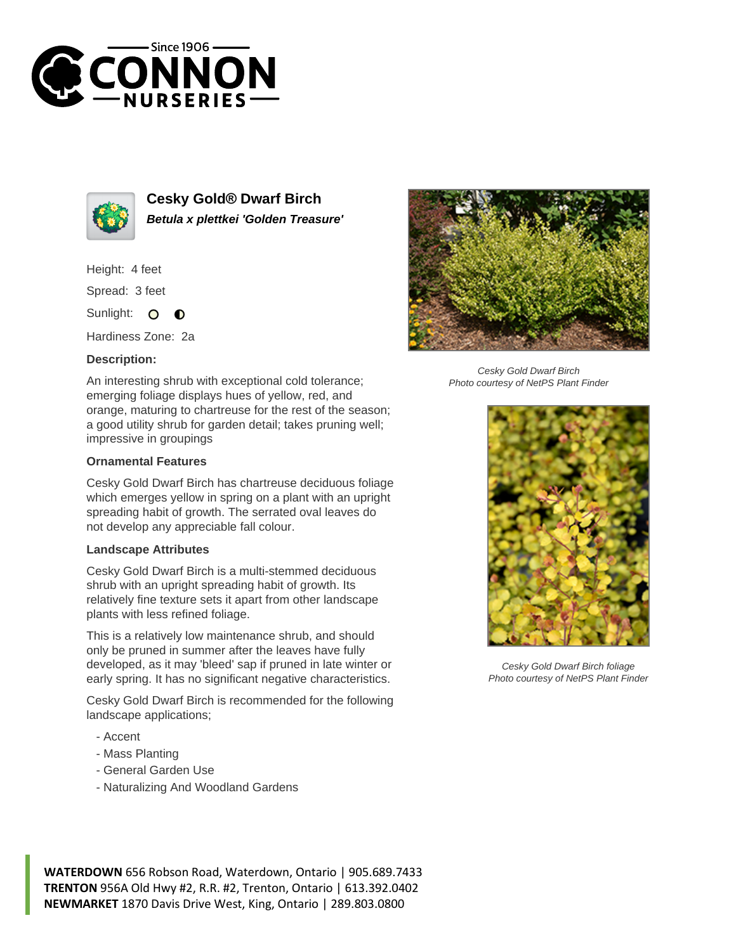



**Cesky Gold® Dwarf Birch Betula x plettkei 'Golden Treasure'**

Height: 4 feet

Spread: 3 feet

Sunlight:  $\circ$ ∩

Hardiness Zone: 2a

## **Description:**

An interesting shrub with exceptional cold tolerance; emerging foliage displays hues of yellow, red, and orange, maturing to chartreuse for the rest of the season; a good utility shrub for garden detail; takes pruning well; impressive in groupings

## **Ornamental Features**

Cesky Gold Dwarf Birch has chartreuse deciduous foliage which emerges yellow in spring on a plant with an upright spreading habit of growth. The serrated oval leaves do not develop any appreciable fall colour.

## **Landscape Attributes**

Cesky Gold Dwarf Birch is a multi-stemmed deciduous shrub with an upright spreading habit of growth. Its relatively fine texture sets it apart from other landscape plants with less refined foliage.

This is a relatively low maintenance shrub, and should only be pruned in summer after the leaves have fully developed, as it may 'bleed' sap if pruned in late winter or early spring. It has no significant negative characteristics.

Cesky Gold Dwarf Birch is recommended for the following landscape applications;

- Accent
- Mass Planting
- General Garden Use
- Naturalizing And Woodland Gardens



Cesky Gold Dwarf Birch Photo courtesy of NetPS Plant Finder



Cesky Gold Dwarf Birch foliage Photo courtesy of NetPS Plant Finder

**WATERDOWN** 656 Robson Road, Waterdown, Ontario | 905.689.7433 **TRENTON** 956A Old Hwy #2, R.R. #2, Trenton, Ontario | 613.392.0402 **NEWMARKET** 1870 Davis Drive West, King, Ontario | 289.803.0800